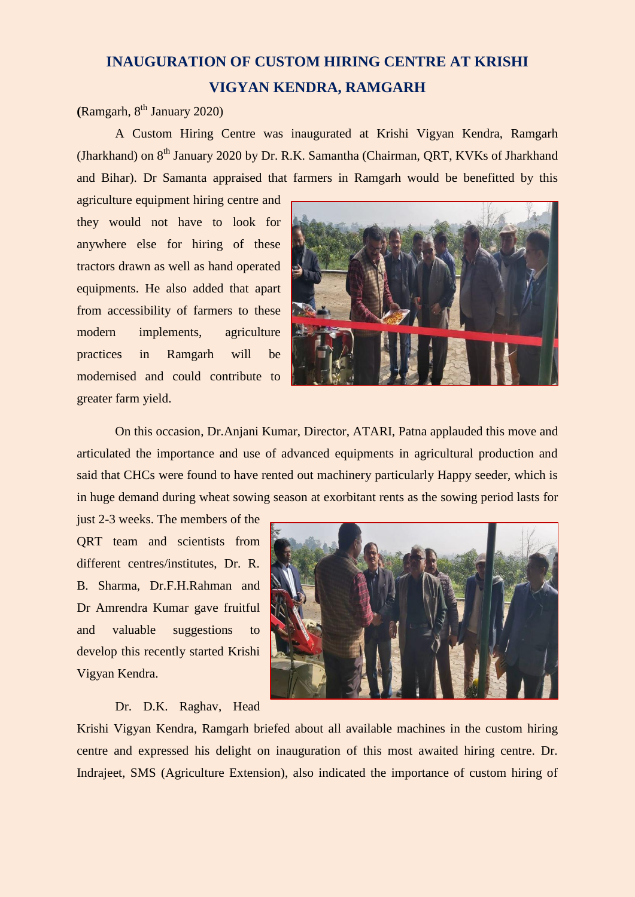## **INAUGURATION OF CUSTOM HIRING CENTRE AT KRISHI VIGYAN KENDRA, RAMGARH**

## $(Ramgarh, 8<sup>th</sup> January 2020)$

A Custom Hiring Centre was inaugurated at Krishi Vigyan Kendra, Ramgarh (Jharkhand) on 8<sup>th</sup> January 2020 by Dr. R.K. Samantha (Chairman, QRT, KVKs of Jharkhand and Bihar). Dr Samanta appraised that farmers in Ramgarh would be benefitted by this

agriculture equipment hiring centre and they would not have to look for anywhere else for hiring of these tractors drawn as well as hand operated equipments. He also added that apart from accessibility of farmers to these modern implements, agriculture practices in Ramgarh will be modernised and could contribute to greater farm yield.



On this occasion, Dr.Anjani Kumar, Director, ATARI, Patna applauded this move and articulated the importance and use of advanced equipments in agricultural production and said that CHCs were found to have rented out machinery particularly Happy seeder, which is in huge demand during wheat sowing season at exorbitant rents as the sowing period lasts for

just 2-3 weeks. The members of the QRT team and scientists from different centres/institutes, Dr. R. B. Sharma, Dr.F.H.Rahman and Dr Amrendra Kumar gave fruitful and valuable suggestions to develop this recently started Krishi Vigyan Kendra.

## Dr. D.K. Raghav, Head



Krishi Vigyan Kendra, Ramgarh briefed about all available machines in the custom hiring centre and expressed his delight on inauguration of this most awaited hiring centre. Dr. Indrajeet, SMS (Agriculture Extension), also indicated the importance of custom hiring of